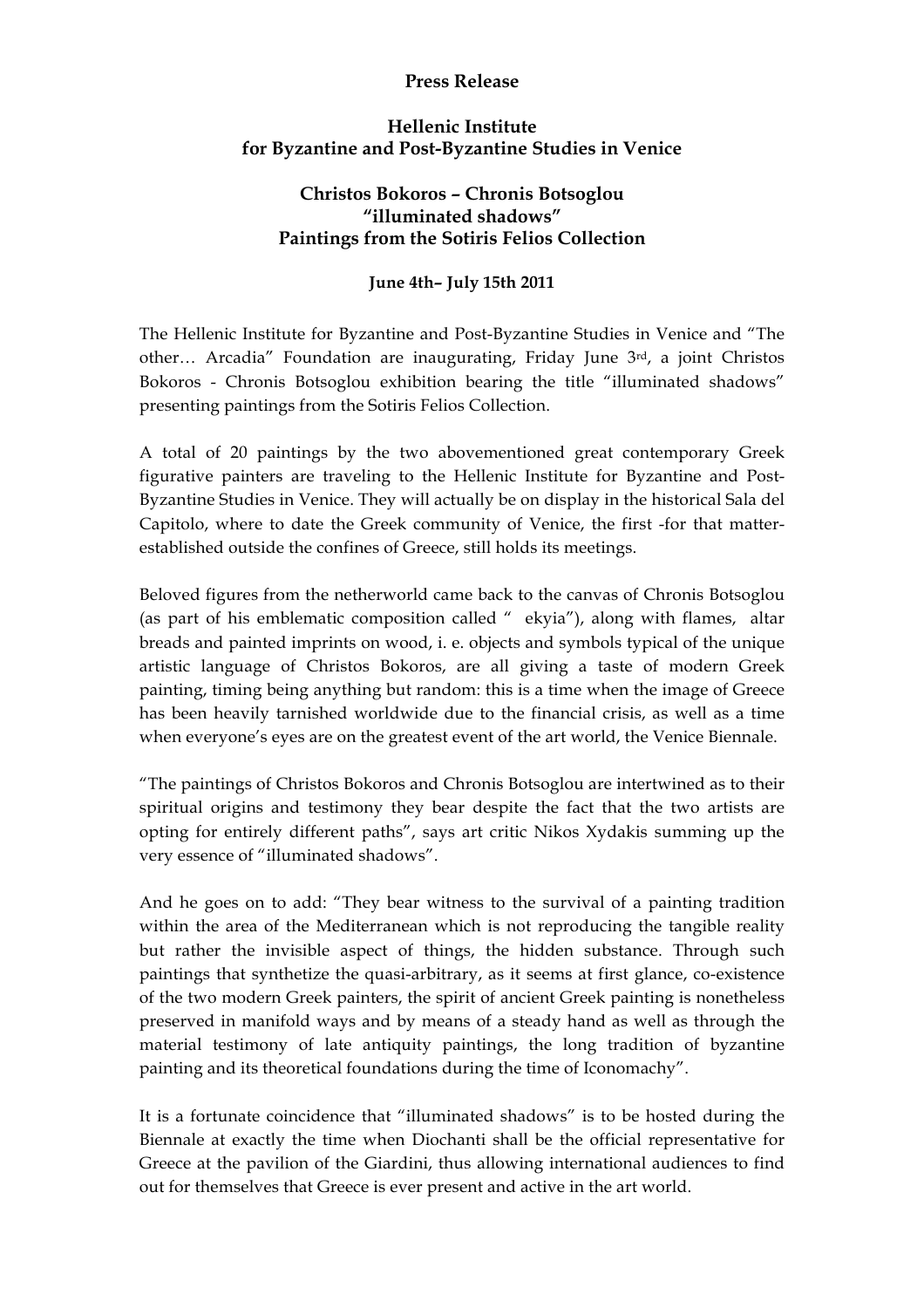## **Press Release**

## **Hellenic Institute for Byzantine and Post-Byzantine Studies in Venice**

## **Christos Bokoros – Chronis Botsoglou "illuminated shadows" Paintings from the Sotiris Felios Collection**

## **June 4th– July 15th 2011**

The Hellenic Institute for Byzantine and Post-Byzantine Studies in Venice and "The other… Arcadia" Foundation are inaugurating, Friday June 3rd, a joint Christos Bokoros - Chronis Botsoglou exhibition bearing the title "illuminated shadows" presenting paintings from the Sotiris Felios Collection.

A total of 20 paintings by the two abovementioned great contemporary Greek figurative painters are traveling to the Hellenic Institute for Byzantine and Post-Byzantine Studies in Venice. They will actually be on display in the historical Sala del Capitolo, where to date the Greek community of Venice, the first -for that matterestablished outside the confines of Greece, still holds its meetings.

Beloved figures from the netherworld came back to the canvas of Chronis Botsoglou (as part of his emblematic composition called "ekyia"), along with flames, altar breads and painted imprints on wood, i. e. objects and symbols typical of the unique artistic language of Christos Bokoros, are all giving a taste of modern Greek painting, timing being anything but random: this is a time when the image of Greece has been heavily tarnished worldwide due to the financial crisis, as well as a time when everyone's eyes are on the greatest event of the art world, the Venice Biennale.

"The paintings of Christos Bokoros and Chronis Botsoglou are intertwined as to their spiritual origins and testimony they bear despite the fact that the two artists are opting for entirely different paths", says art critic Nikos Xydakis summing up the very essence of "illuminated shadows".

And he goes on to add: "They bear witness to the survival of a painting tradition within the area of the Mediterranean which is not reproducing the tangible reality but rather the invisible aspect of things, the hidden substance. Through such paintings that synthetize the quasi-arbitrary, as it seems at first glance, co-existence of the two modern Greek painters, the spirit of ancient Greek painting is nonetheless preserved in manifold ways and by means of a steady hand as well as through the material testimony of late antiquity paintings, the long tradition of byzantine painting and its theoretical foundations during the time of Iconomachy".

It is a fortunate coincidence that "illuminated shadows" is to be hosted during the Biennale at exactly the time when Diochanti shall be the official representative for Greece at the pavilion of the Giardini, thus allowing international audiences to find out for themselves that Greece is ever present and active in the art world.